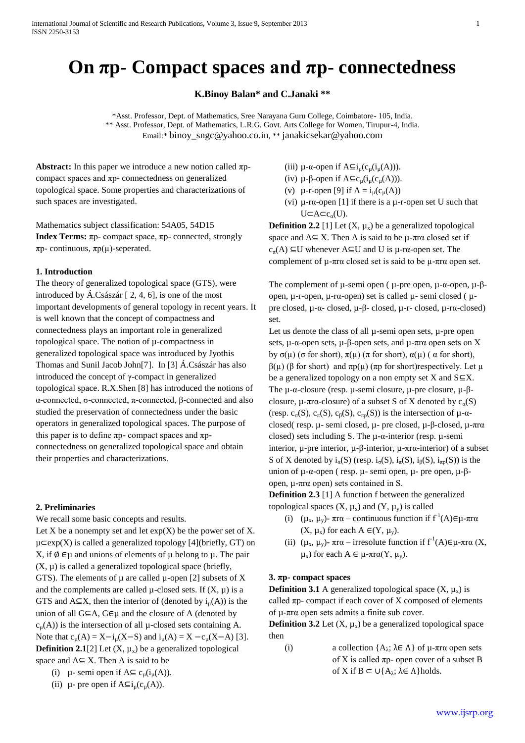# **On πp- Compact spaces and πp- connectedness**

**K.Binoy Balan\* and C.Janaki \*\***

\*Asst. Professor, Dept. of Mathematics, Sree Narayana Guru College, Coimbatore- 105, India. \*\* Asst. Professor, Dept. of Mathematics, L.R.G. Govt. Arts College for Women, Tirupur-4, India. Email:\* [binoy\\_sngc@yahoo.co.in](mailto:binoy_sngc@yahoo.co.in), \*\* [janakicsekar@yahoo.com](mailto:janakicsekar@yahoo.com)

**Abstract:** In this paper we introduce a new notion called πpcompact spaces and πp- connectedness on generalized topological space. Some properties and characterizations of such spaces are investigated.

Mathematics subject classification: 54A05, 54D15 **Index Terms:** πp- compact space, πp- connected, strongly πp- continuous, πp(µ)-seperated.

## **1. Introduction**

The theory of generalized topological space (GTS), were introduced by Á.Császár [ 2, 4, 6], is one of the most important developments of general topology in recent years. It is well known that the concept of compactness and connectedness plays an important role in generalized topological space. The notion of µ-compactness in generalized topological space was introduced by Jyothis Thomas and Sunil Jacob John[7]. In [3] Á.Császár has also introduced the concept of γ-compact in generalized topological space. R.X.Shen [8] has introduced the notions of α-connected, σ-connected, π-connected, β-connected and also studied the preservation of connectedness under the basic operators in generalized topological spaces. The purpose of this paper is to define  $πp$ - compact spaces and  $πp$ connectedness on generalized topological space and obtain their properties and characterizations.

# **2. Preliminaries**

We recall some basic concepts and results.

Let  $X$  be a nonempty set and let  $exp(X)$  be the power set of  $X$ .  $\mu \subset exp(X)$  is called a generalized topology [4](briefly, GT) on X, if  $\emptyset \in \mathfrak{u}$  and unions of elements of  $\mathfrak{u}$  belong to  $\mathfrak{u}$ . The pair (X, µ) is called a generalized topological space (briefly, GTS). The elements of  $\mu$  are called  $\mu$ -open [2] subsets of X and the complements are called  $\mu$ -closed sets. If  $(X, \mu)$  is a GTS and  $A \subseteq X$ , then the interior of (denoted by  $i<sub>u</sub>(A)$ ) is the union of all  $G \subseteq A$ ,  $G \in \mathcal{U}$  and the closure of A (denoted by  $c<sub>u</sub>(A)$ ) is the intersection of all  $\mu$ -closed sets containing A. Note that  $c_u(A) = X - i_u(X - S)$  and  $i_u(A) = X - c_u(X - A)$  [3]. **Definition 2.1**[2] Let  $(X, \mu_X)$  be a generalized topological space and  $A \subseteq X$ . Then A is said to be

(i) 
$$
\mu
$$
- semi open if  $A \subseteq c_u(i_u(A))$ .

(ii)  $\mu$ - pre open if  $A \subseteq i_{\mu}(c_{\mu}(A)).$ 

- (iii)  $\mu$ - $\alpha$ -open if  $A \subseteq i_{\mu}(c_{\mu}(i_{\mu}(A))).$
- (iv)  $\mu$ -β-open if  $A \subseteq c_u(i_u(c_u(A))).$
- (v)  $\mu$ -r-open [9] if  $A = i_{\mu}(c_{\mu}(A))$
- (vi)  $\mu$ -r $\alpha$ -open [1] if there is a  $\mu$ -r-open set U such that  $U \subset A \subset c_{\alpha}(U)$ .

**Definition 2.2** [1] Let  $(X, \mu_X)$  be a generalized topological space and  $A \subseteq X$ . Then A is said to be  $\mu$ -πrα closed set if  $c_{\pi}(A) \subseteq U$  whenever  $A \subseteq U$  and U is  $\mu$ -r $\alpha$ -open set. The complement of µ-πrα closed set is said to be µ-πrα open set.

The complement of μ-semi open ( μ-pre open, μ-α-open, μ-βopen, µ-r-open, µ-rα-open) set is called µ- semi closed ( µpre closed, µ-α- closed, µ-β- closed, µ-r- closed, µ-rα-closed) set.

Let us denote the class of all  $\mu$ -semi open sets,  $\mu$ -pre open sets, µ-α-open sets, µ-β-open sets, and µ-πrα open sets on X by  $\sigma(\mu)$  ( $\sigma$  for short),  $\pi(\mu)$  ( $\pi$  for short),  $\alpha(\mu)$  ( $\alpha$  for short),  $β(μ) (β for short)$  and  $πp(μ) (πp for short) respectively.$  Let  $μ$ be a generalized topology on a non empty set X and  $S \subseteq X$ . The µ-α-closure (resp. µ-semi closure, µ-pre closure, µ-βclosure,  $\mu$ -πrα-closure) of a subset S of X denoted by  $c_{\alpha}(S)$ (resp. c<sub>σ</sub>(S), c<sub>π</sub>(S), c<sub>β</sub>(S), c<sub>πp</sub>(S)) is the intersection of  $\mu$ -αclosed( resp. µ- semi closed, µ- pre closed, µ-β-closed, µ-πrα closed) sets including S. The  $\mu$ - $\alpha$ -interior (resp.  $\mu$ -semi interior, µ-pre interior, µ-β-interior, µ-πrα-interior) of a subset S of X denoted by  $i_{\alpha}(S)$  (resp.  $i_{\alpha}(S)$ ,  $i_{\pi}(S)$ ,  $i_{\beta}(S)$ ,  $i_{\pi \beta}(S)$ ) is the union of µ-α-open ( resp. µ- semi open, µ- pre open, µ-βopen, µ-πrα open) sets contained in S.

**Definition 2.3** [1] A function f between the generalized topological spaces  $(X, \mu_X)$  and  $(Y, \mu_Y)$  is called

- (i)  $(\mu_x, \mu_y)$  πra continuous function if  $f^1(A) \in \mu$ -πra  $(X, \mu_x)$  for each  $A \in (Y, \mu_y)$ .
- (ii)  $(\mu_x, \mu_y)$   $\pi r \alpha$  irresolute function if  $f^1(A) \in \mu$ - $\pi r \alpha$  (X,  $\mu_x$ ) for each A  $\in$  μ-πrα(Y,  $\mu_v$ ).

# **3. πp- compact spaces**

**Definition 3.1** A generalized topological space  $(X, \mu_X)$  is called  $\pi p$ - compact if each cover of X composed of elements of µ-πrα open sets admits a finite sub cover.

**Definition 3.2** Let  $(X, \mu_X)$  be a generalized topological space then

(i) a collection  ${A_{\lambda}}; \lambda \in \Lambda$  of  $\mu$ -πrα open sets of X is called  $\pi p$ - open cover of a subset B of X if  $B \subset \bigcup \{A_{\lambda} : \lambda \in \Lambda \}$ holds.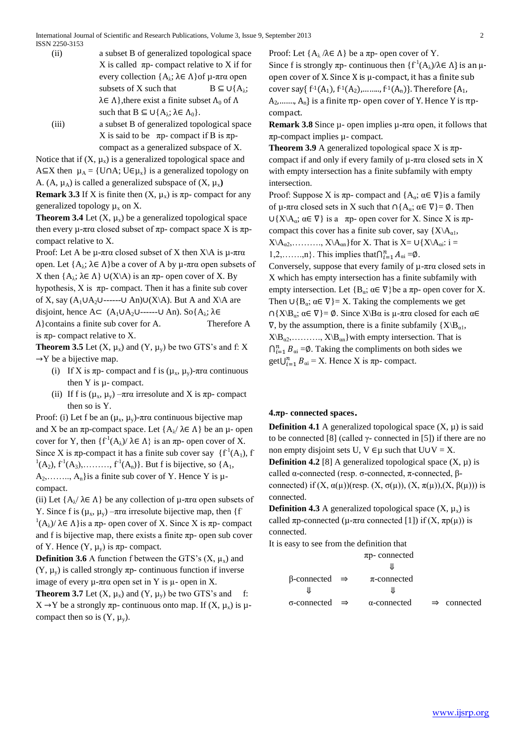- (ii) a subset B of generalized topological space X is called  $\pi$ p- compact relative to X if for every collection  ${A<sub>λ</sub>; λ ∈ Λ}$ of μ-πrα open subsets of X such that  $B \subseteq \bigcup \{A_{\lambda};$  $\lambda \in \Lambda$ , there exist a finite subset  $\Lambda_0$  of  $\Lambda$ such that  $B \subseteq \bigcup \{A_{\lambda}; \lambda \in \Lambda_0\}.$
- (iii) a subset B of generalized topological space X is said to be  $\pi p$ - compact if B is  $\pi p$ compact as a generalized subspace of X.

Notice that if  $(X, \mu_X)$  is a generalized topological space and A  $\subseteq$ X then  $\mu_A = \{U \cap A; U \in \mu_X\}$  is a generalized topology on A.  $(A, \mu_A)$  is called a generalized subspace of  $(X, \mu_X)$ **Remark 3.3** If X is finite then  $(X, \mu_X)$  is  $\pi p$ - compact for any generalized topology  $\mu_x$  on X.

**Theorem 3.4** Let  $(X, \mu_X)$  be a generalized topological space then every  $\mu$ -πrα closed subset of πp- compact space X is πpcompact relative to X.

Proof: Let A be μ-πrα closed subset of X then  $X\$ A is μ-πrα open. Let  ${A<sub>λ</sub>; λ ∈ Λ}$ be a cover of A by  $\mu$ -πrα open subsets of X then {A<sub>λ</sub>;  $\lambda \in \Lambda$ } U(X\A) is an πp- open cover of X. By hypothesis,  $X$  is  $\pi p$ - compact. Then it has a finite sub cover of X, say  $(A_1 \cup A_2 \cup \cdots \cup A_n) \cup (X \setminus A)$ . But A and X $\setminus A$  are disjoint, hence  $A \subset (A_1 \cup A_2 \cup \cdots \cup A_n)$ . So $\{A_\lambda; \lambda \in$  $\Lambda$ }contains a finite sub cover for A. Therefore A is  $\pi p$ - compact relative to X.

**Theorem 3.5** Let  $(X, \mu_X)$  and  $(Y, \mu_Y)$  be two GTS's and f: X  $\rightarrow$ Y be a bijective map.

- (i) If X is πp- compact and f is  $(\mu_x, \mu_y)$ -πrα continuous then  $Y$  is  $\mu$ - compact.
- (ii) If f is  $(\mu_x, \mu_y)$  –πrα irresolute and X is πp- compact then so is Y.

Proof: (i) Let f be an  $(\mu_x, \mu_y)$ -πrα continuous bijective map and X be an  $\pi$ p-compact space. Let  $\{A_{\lambda}/\lambda \in \Lambda\}$  be an  $\mu$ - open cover for Y, then  $\{f'(A_{\lambda})/\lambda \in \Lambda\}$  is an  $\pi p$ - open cover of X. Since X is  $\pi p$ -compact it has a finite sub cover say  $\{f^{-1}(A_1), f\}$  ${}^{1}(A_2)$ ,  $f'{}^{1}(A_3)$ ,.......,  $f'{}^{1}(A_n)$ . But f is bijective, so {A<sub>1</sub>,  $A_2, \ldots, A_n$  is a finite sub cover of Y. Hence Y is  $\mu$ compact.

(ii) Let  ${A_{\lambda}} \lambda \in \Lambda$  be any collection of  $\mu$ -πrα open subsets of Y. Since f is  $(\mu_x, \mu_y)$  –πra irresolute bijective map, then {f  $^{1}(A_{\lambda})/\lambda \in \Lambda$  is a  $\pi p$ - open cover of X. Since X is  $\pi p$ - compact and f is bijective map, there exists a finite  $\pi p$ - open sub cover of Y. Hence  $(Y, \mu_v)$  is  $\pi p$ - compact.

**Definition 3.6** A function f between the GTS's  $(X, \mu_X)$  and  $(Y, \mu_{y})$  is called strongly  $\pi p$ - continuous function if inverse image of every  $\mu$ -πrα open set in Y is  $\mu$ - open in X.

**Theorem 3.7** Let  $(X, \mu_X)$  and  $(Y, \mu_Y)$  be two GTS's and f:  $X \rightarrow Y$  be a strongly  $\pi p$ - continuous onto map. If  $(X, \mu_X)$  is  $\mu$ compact then so is  $(Y, \mu_v)$ .

Proof: Let  $\{A_{\lambda} / \lambda \in \Lambda\}$  be a  $\pi$ p- open cover of Y. Since f is strongly  $\pi p$ - continuous then  $\{f^1(A_\lambda)/\lambda \in \Lambda\}$  is an  $\mu$ open cover of X. Since X is  $\mu$ -compact, it has a finite sub cover say{  $f^{-1}(A_1)$ ,  $f^{-1}(A_2)$ , ...,  $f^{-1}(A_n)$ }. Therefore {A<sub>1</sub>,  $A_2$ ,......,  $A_n$  is a finite  $\pi p$ - open cover of Y. Hence Y is  $\pi p$ compact.

**Remark 3.8** Since µ- open implies µ-πrα open, it follows that πp-compact implies µ- compact.

**Theorem 3.9** A generalized topological space X is πpcompact if and only if every family of  $\mu$ -πrα closed sets in X with empty intersection has a finite subfamily with empty intersection.

Proof: Suppose X is  $\pi p$ - compact and  $\{A_{\alpha}; \alpha \in \nabla\}$ is a family of μ-πrα closed sets in X such that  $\cap$ {A<sub>α</sub>; α ∈  $\nabla$ } =  $\emptyset$ . Then  $\cup \{X \setminus A_{\alpha}; \alpha \in \nabla\}$  is a  $\pi$ p- open cover for X. Since X is  $\pi$ pcompact this cover has a finite sub cover, say  ${X\A_{\alpha1}}$ ,  $X\setminus A_{\alpha 2},\ldots,\ldots,X\setminus A_{\alpha n}$  for X. That is  $X=U\{X\setminus A_{\alpha i}: i=1\}$ 1,2,......,n}. This implies that  $\bigcap_{i=1}^{n} A_{\alpha i} = \emptyset$ .

Conversely, suppose that every family of µ-πrα closed sets in X which has empty intersection has a finite subfamily with empty intersection. Let  ${B_\alpha; \alpha \in \nabla}$  be a  $\pi p$ - open cover for X. Then  $\cup \{B_{\alpha}; \alpha \in \nabla\} = X$ . Taking the complements we get  $\bigcap \{X\setminus B_\alpha; \alpha \in \nabla\} = \emptyset$ . Since  $X\setminus B_\alpha$  is  $\mu$ -πr $\alpha$  closed for each  $\alpha \in \mathbb{R}$  $\nabla$ , by the assumption, there is a finite subfamily  ${X\Bbb B_{\alpha1}}$ ,  $X\setminus B_{\alpha2}, \ldots, X\setminus B_{\alpha n}$  with empty intersection. That is  $\bigcap_{i=1}^{n} B_{\alpha i} = \emptyset$ . Taking the compliments on both sides we get $\bigcup_{i=1}^{n} B_{\alpha i} = X$ . Hence X is  $\pi p$ - compact.

## **4.πp- connected spaces**.

**Definition 4.1** A generalized topological space  $(X, \mu)$  is said to be connected [8] (called  $\gamma$ - connected in [5]) if there are no non empty disjoint sets U, V  $\in \mu$  such that UUV = X. **Definition 4.2** [8] A generalized topological space  $(X, \mu)$  is called α-connected (resp. σ-connected, π-connected, βconnected) if  $(X, \alpha(\mu))$ (resp.  $(X, \sigma(\mu))$ ,  $(X, \pi(\mu))$ ,  $(X, \beta(\mu))$ ) is connected.

**Definition 4.3** A generalized topological space  $(X, \mu_X)$  is called  $\pi p$ -connected ( $\mu$ - $\pi r\alpha$  connected [1]) if  $(X, \pi p(\mu))$  is connected.

It is easy to see from the definition that

|                                   | $\pi$ p-connected   |                         |
|-----------------------------------|---------------------|-------------------------|
|                                   |                     |                         |
| $\beta$ -connected $\Rightarrow$  | $\pi$ -connected    |                         |
|                                   |                     |                         |
| $\sigma$ -connected $\Rightarrow$ | $\alpha$ -connected | $\Rightarrow$ connected |